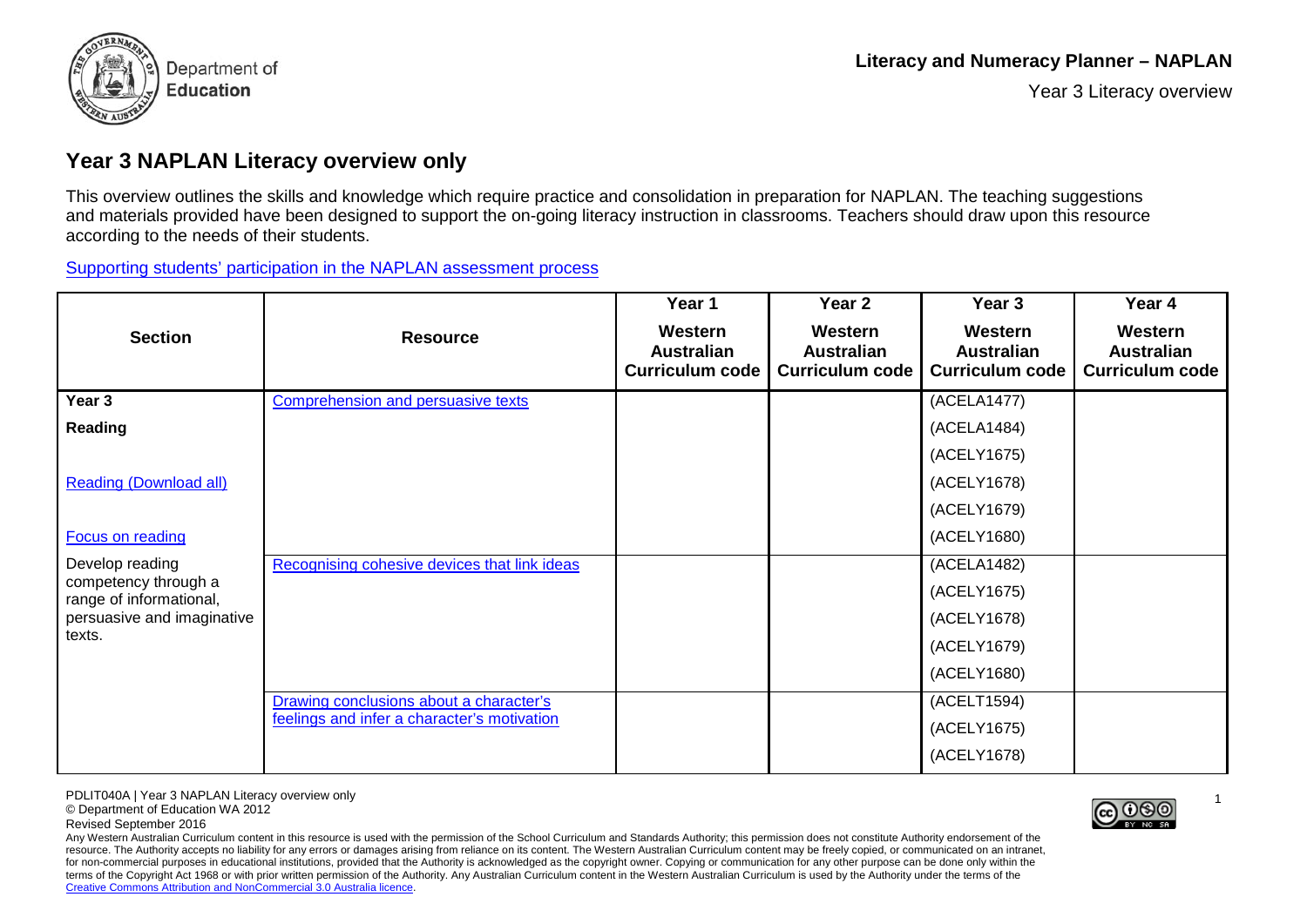

Year 3 Literacy overview

## **Year 3 NAPLAN Literacy overview only**

This overview outlines the skills and knowledge which require practice and consolidation in preparation for NAPLAN. The teaching suggestions and materials provided have been designed to support the on-going literacy instruction in classrooms. Teachers should draw upon this resource according to the needs of their students.

[Supporting students' participation in the NAPLAN](http://ecm.det.wa.edu.au/connect/resolver/view/PDLIT072/latest/PDLIT072.pdf) assessment process

| <b>Section</b>                                  | <b>Resource</b>                              | Year 1<br>Western<br><b>Australian</b><br><b>Curriculum code</b> | Year 2<br>Western<br><b>Australian</b><br><b>Curriculum code</b> | Year 3<br>Western<br><b>Australian</b><br><b>Curriculum code</b> | Year 4<br>Western<br><b>Australian</b><br><b>Curriculum code</b> |
|-------------------------------------------------|----------------------------------------------|------------------------------------------------------------------|------------------------------------------------------------------|------------------------------------------------------------------|------------------------------------------------------------------|
| Year 3                                          | Comprehension and persuasive texts           |                                                                  |                                                                  | (ACELA1477)                                                      |                                                                  |
|                                                 |                                              |                                                                  |                                                                  |                                                                  |                                                                  |
| Reading                                         |                                              |                                                                  |                                                                  | (ACELA1484)                                                      |                                                                  |
|                                                 |                                              |                                                                  |                                                                  | (ACELY1675)                                                      |                                                                  |
| <b>Reading (Download all)</b>                   |                                              |                                                                  |                                                                  | (ACELY1678)                                                      |                                                                  |
|                                                 |                                              |                                                                  |                                                                  | (ACELY1679)                                                      |                                                                  |
| Focus on reading                                |                                              |                                                                  |                                                                  | (ACELY1680)                                                      |                                                                  |
| Develop reading                                 | Recognising cohesive devices that link ideas |                                                                  |                                                                  | (ACELA1482)                                                      |                                                                  |
| competency through a<br>range of informational, |                                              |                                                                  |                                                                  | (ACELY1675)                                                      |                                                                  |
| persuasive and imaginative                      |                                              |                                                                  |                                                                  | (ACELY1678)                                                      |                                                                  |
| texts.                                          |                                              |                                                                  |                                                                  | (ACELY1679)                                                      |                                                                  |
|                                                 |                                              |                                                                  |                                                                  | (ACELY1680)                                                      |                                                                  |
|                                                 | Drawing conclusions about a character's      |                                                                  |                                                                  | (ACELT1594)                                                      |                                                                  |
|                                                 | feelings and infer a character's motivation  |                                                                  |                                                                  | (ACELY1675)                                                      |                                                                  |
|                                                 |                                              |                                                                  |                                                                  | (ACELY1678)                                                      |                                                                  |

PDLIT040A | Year 3 NAPLAN Literacy overview only

© Department of Education WA 2012

Revised September 2016

Any Western Australian Curriculum content in this resource is used with the permission of the School Curriculum and Standards Authority; this permission does not constitute Authority endorsement of the resource. The Authority accepts no liability for any errors or damages arising from reliance on its content. The Western Australian Curriculum content may be freely copied, or communicated on an intranet, for non-commercial purposes in educational institutions, provided that the Authority is acknowledged as the copyright owner. Copying or communication for any other purpose can be done only within the terms of the Copyright Act 1968 or with prior written permission of the Authority. Any Australian Curriculum content in the Western Australian Curriculum is used by the Authority under the terms of the [Creative Commons Attribution and NonCommercial 3.0 Australia licence.](https://creativecommons.org/licenses/by-nc-sa/3.0/au/)



1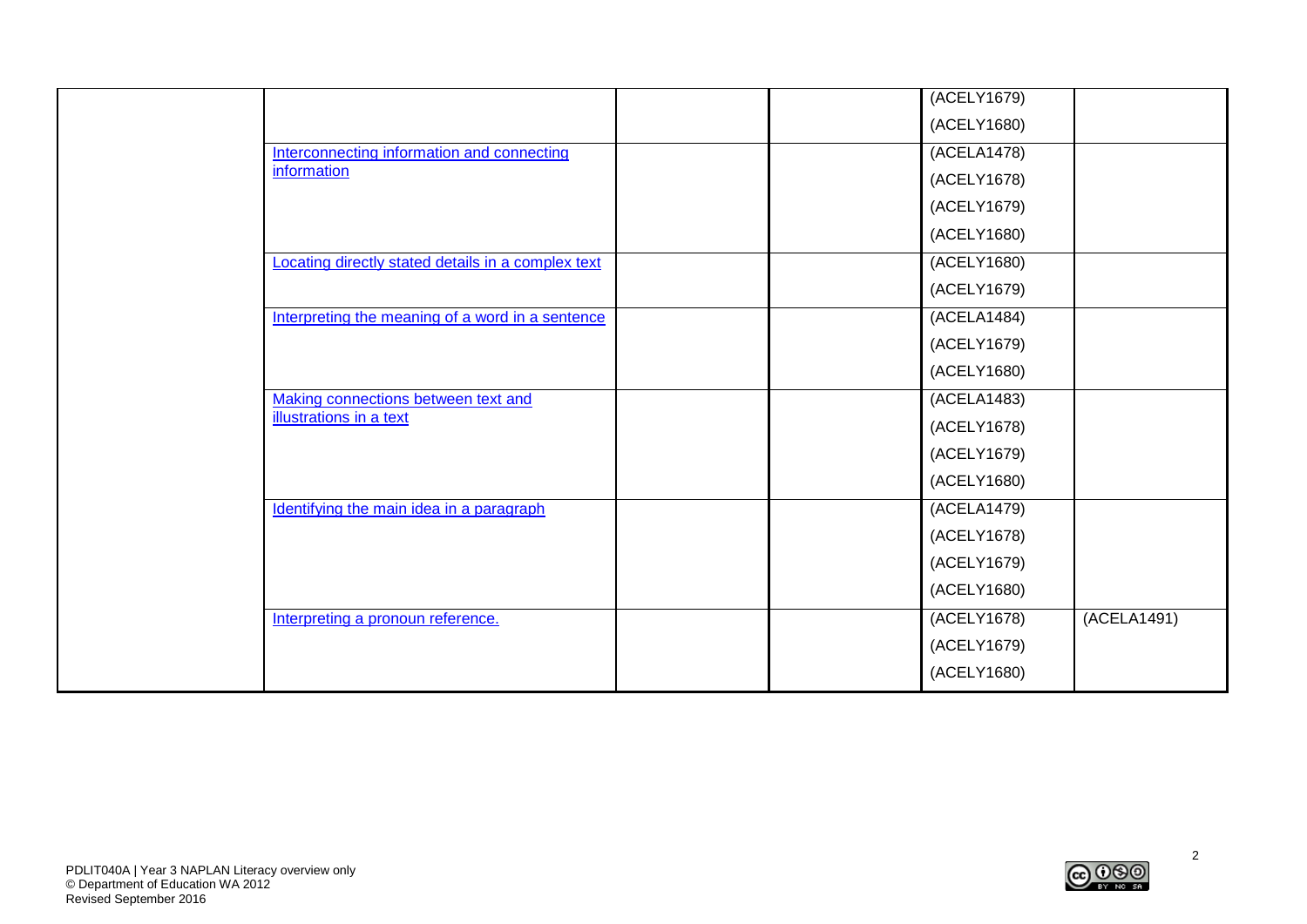|  |                                                    |  | (ACELY1679) |             |
|--|----------------------------------------------------|--|-------------|-------------|
|  |                                                    |  | (ACELY1680) |             |
|  | Interconnecting information and connecting         |  | (ACELA1478) |             |
|  | information                                        |  | (ACELY1678) |             |
|  |                                                    |  | (ACELY1679) |             |
|  |                                                    |  | (ACELY1680) |             |
|  | Locating directly stated details in a complex text |  | (ACELY1680) |             |
|  |                                                    |  | (ACELY1679) |             |
|  | Interpreting the meaning of a word in a sentence   |  | (ACELA1484) |             |
|  |                                                    |  | (ACELY1679) |             |
|  |                                                    |  | (ACELY1680) |             |
|  | Making connections between text and                |  | (ACELA1483) |             |
|  | <b>illustrations in a text</b>                     |  | (ACELY1678) |             |
|  |                                                    |  | (ACELY1679) |             |
|  |                                                    |  | (ACELY1680) |             |
|  | Identifying the main idea in a paragraph           |  | (ACELA1479) |             |
|  |                                                    |  | (ACELY1678) |             |
|  |                                                    |  | (ACELY1679) |             |
|  |                                                    |  | (ACELY1680) |             |
|  | Interpreting a pronoun reference.                  |  | (ACELY1678) | (ACELA1491) |
|  |                                                    |  | (ACELY1679) |             |
|  |                                                    |  | (ACELY1680) |             |

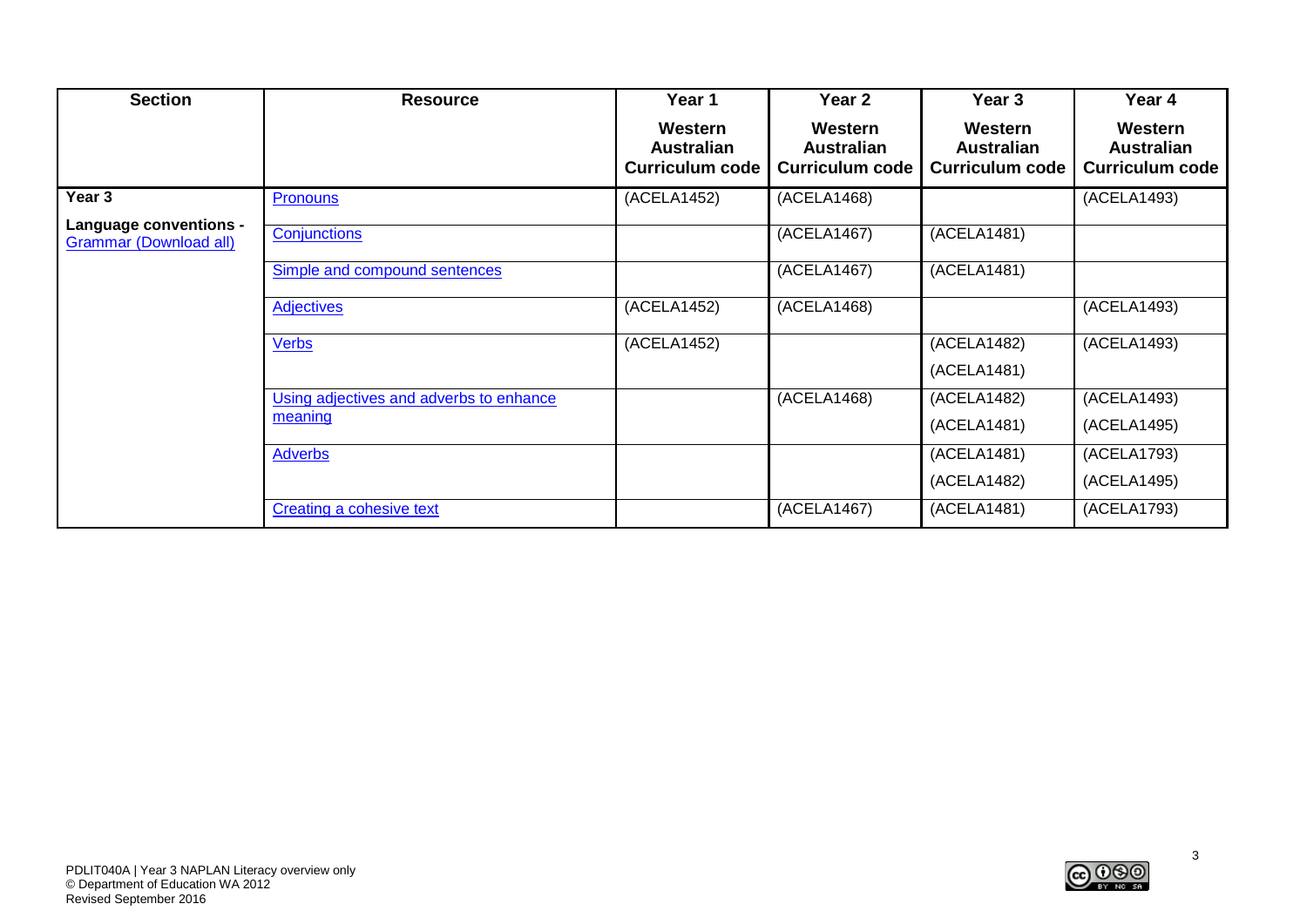| <b>Section</b>                                          | <b>Resource</b>                         | Year 1                                                 | Year 2                                                 | Year 3                                                 | Year 4                                                 |
|---------------------------------------------------------|-----------------------------------------|--------------------------------------------------------|--------------------------------------------------------|--------------------------------------------------------|--------------------------------------------------------|
|                                                         |                                         | Western<br><b>Australian</b><br><b>Curriculum code</b> | Western<br><b>Australian</b><br><b>Curriculum code</b> | Western<br><b>Australian</b><br><b>Curriculum code</b> | Western<br><b>Australian</b><br><b>Curriculum code</b> |
| Year 3                                                  | Pronouns                                | (ACELA1452)                                            | (ACELA1468)                                            |                                                        | (ACELA1493)                                            |
| Language conventions -<br><b>Grammar (Download all)</b> | Conjunctions                            |                                                        | (ACELA1467)                                            | (ACELA1481)                                            |                                                        |
|                                                         | Simple and compound sentences           |                                                        | (ACELA1467)                                            | (ACELA1481)                                            |                                                        |
|                                                         | <b>Adjectives</b>                       | (ACELA1452)                                            | (ACELA1468)                                            |                                                        | (ACELA1493)                                            |
|                                                         | <b>Verbs</b>                            | (ACELA1452)                                            |                                                        | (ACELA1482)                                            | (ACELA1493)                                            |
|                                                         |                                         |                                                        |                                                        | (ACELA1481)                                            |                                                        |
|                                                         | Using adjectives and adverbs to enhance |                                                        | (ACELA1468)                                            | (ACELA1482)                                            | (ACELA1493)                                            |
|                                                         | meaning                                 |                                                        |                                                        | (ACELA1481)                                            | (ACELA1495)                                            |
|                                                         | <b>Adverbs</b>                          |                                                        |                                                        | (ACELA1481)                                            | (ACELA1793)                                            |
|                                                         |                                         |                                                        |                                                        | (ACELA1482)                                            | (ACELA1495)                                            |
|                                                         | <b>Creating a cohesive text</b>         |                                                        | (ACELA1467)                                            | (ACELA1481)                                            | (ACELA1793)                                            |

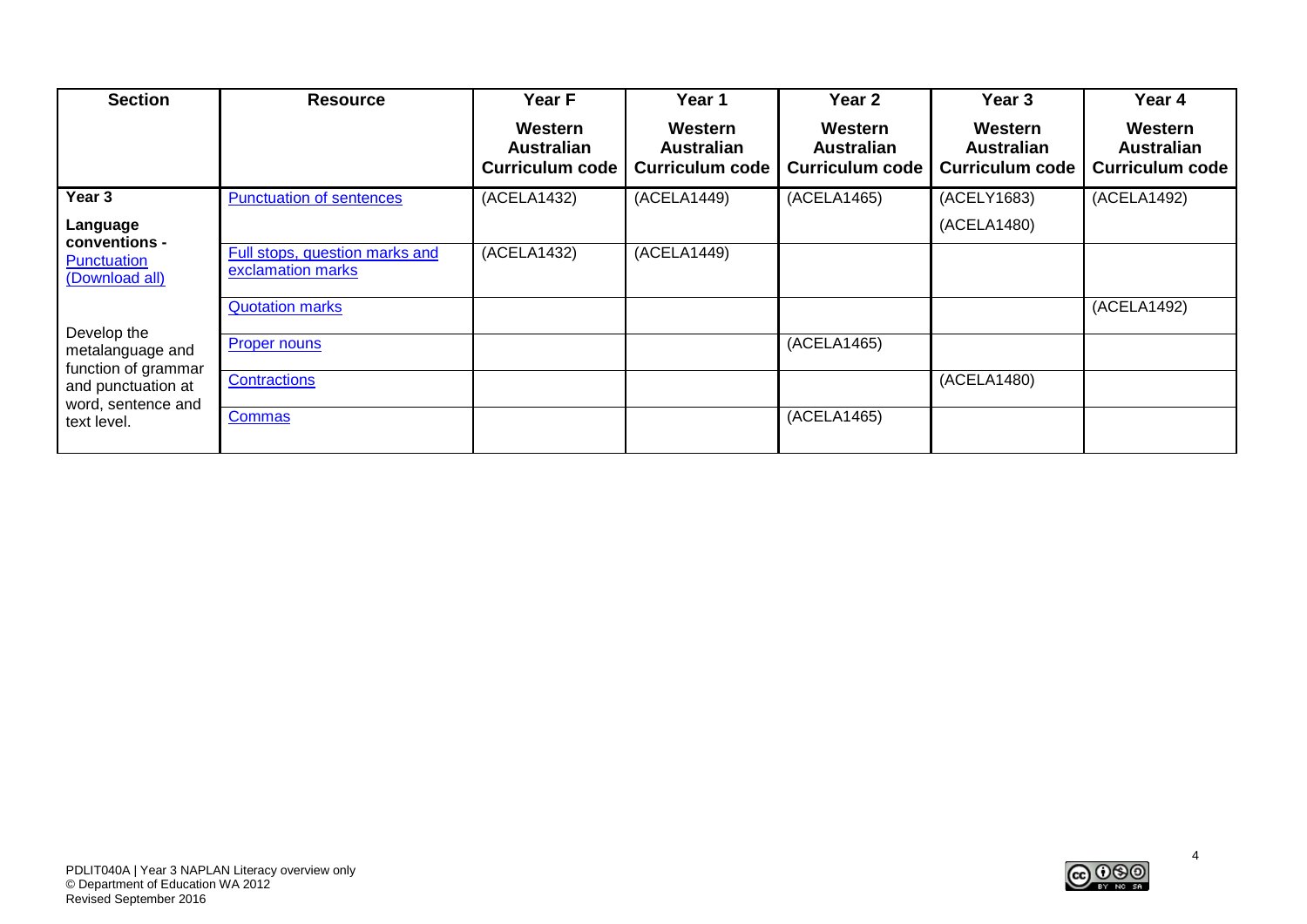| <b>Section</b>                                         | <b>Resource</b>                                     | Year F                                                 | Year 1                                          | <b>Year 2</b>                                          | Year 3                                                 | Year 4                                                 |
|--------------------------------------------------------|-----------------------------------------------------|--------------------------------------------------------|-------------------------------------------------|--------------------------------------------------------|--------------------------------------------------------|--------------------------------------------------------|
|                                                        |                                                     | Western<br><b>Australian</b><br><b>Curriculum code</b> | Western<br>Australian<br><b>Curriculum code</b> | Western<br><b>Australian</b><br><b>Curriculum code</b> | Western<br><b>Australian</b><br><b>Curriculum code</b> | Western<br><b>Australian</b><br><b>Curriculum code</b> |
| Year 3                                                 | <b>Punctuation of sentences</b>                     | (ACELA1432)                                            | (ACELA1449)                                     | (ACELA1465)                                            | (ACELY1683)                                            | (ACELA1492)                                            |
| Language<br>conventions -                              |                                                     |                                                        |                                                 |                                                        | (ACELA1480)                                            |                                                        |
| Punctuation<br>(Download all)                          | Full stops, question marks and<br>exclamation marks | (ACELA1432)                                            | (ACELA1449)                                     |                                                        |                                                        |                                                        |
|                                                        | <b>Quotation marks</b>                              |                                                        |                                                 |                                                        |                                                        | (ACELA1492)                                            |
| Develop the<br>metalanguage and<br>function of grammar | <b>Proper nouns</b>                                 |                                                        |                                                 | (ACELA1465)                                            |                                                        |                                                        |
| and punctuation at<br>word, sentence and               | Contractions                                        |                                                        |                                                 |                                                        | (ACELA1480)                                            |                                                        |
| text level.                                            | <b>Commas</b>                                       |                                                        |                                                 | (ACELA1465)                                            |                                                        |                                                        |

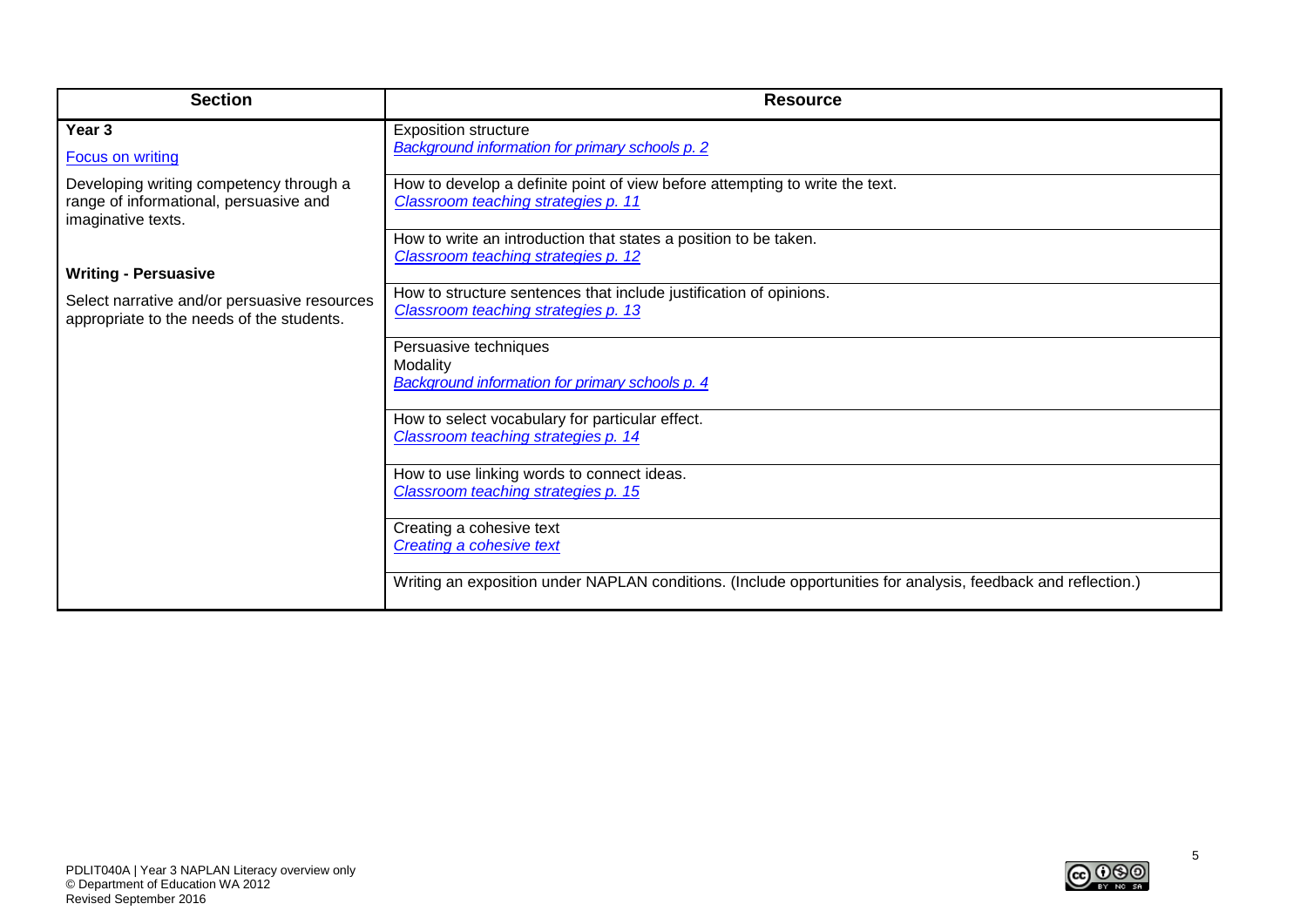| <b>Section</b>                                                                                          | <b>Resource</b>                                                                                                     |
|---------------------------------------------------------------------------------------------------------|---------------------------------------------------------------------------------------------------------------------|
| Year 3<br><b>Focus on writing</b>                                                                       | <b>Exposition structure</b><br><b>Background information for primary schools p. 2</b>                               |
| Developing writing competency through a<br>range of informational, persuasive and<br>imaginative texts. | How to develop a definite point of view before attempting to write the text.<br>Classroom teaching strategies p. 11 |
|                                                                                                         | How to write an introduction that states a position to be taken.<br>Classroom teaching strategies p. 12             |
| <b>Writing - Persuasive</b>                                                                             |                                                                                                                     |
| Select narrative and/or persuasive resources<br>appropriate to the needs of the students.               | How to structure sentences that include justification of opinions.<br>Classroom teaching strategies p. 13           |
|                                                                                                         | Persuasive techniques                                                                                               |
|                                                                                                         | Modality                                                                                                            |
|                                                                                                         | Background information for primary schools p. 4                                                                     |
|                                                                                                         | How to select vocabulary for particular effect.                                                                     |
|                                                                                                         | Classroom teaching strategies p. 14                                                                                 |
|                                                                                                         | How to use linking words to connect ideas.                                                                          |
|                                                                                                         | Classroom teaching strategies p. 15                                                                                 |
|                                                                                                         | Creating a cohesive text                                                                                            |
|                                                                                                         | Creating a cohesive text                                                                                            |
|                                                                                                         | Writing an exposition under NAPLAN conditions. (Include opportunities for analysis, feedback and reflection.)       |

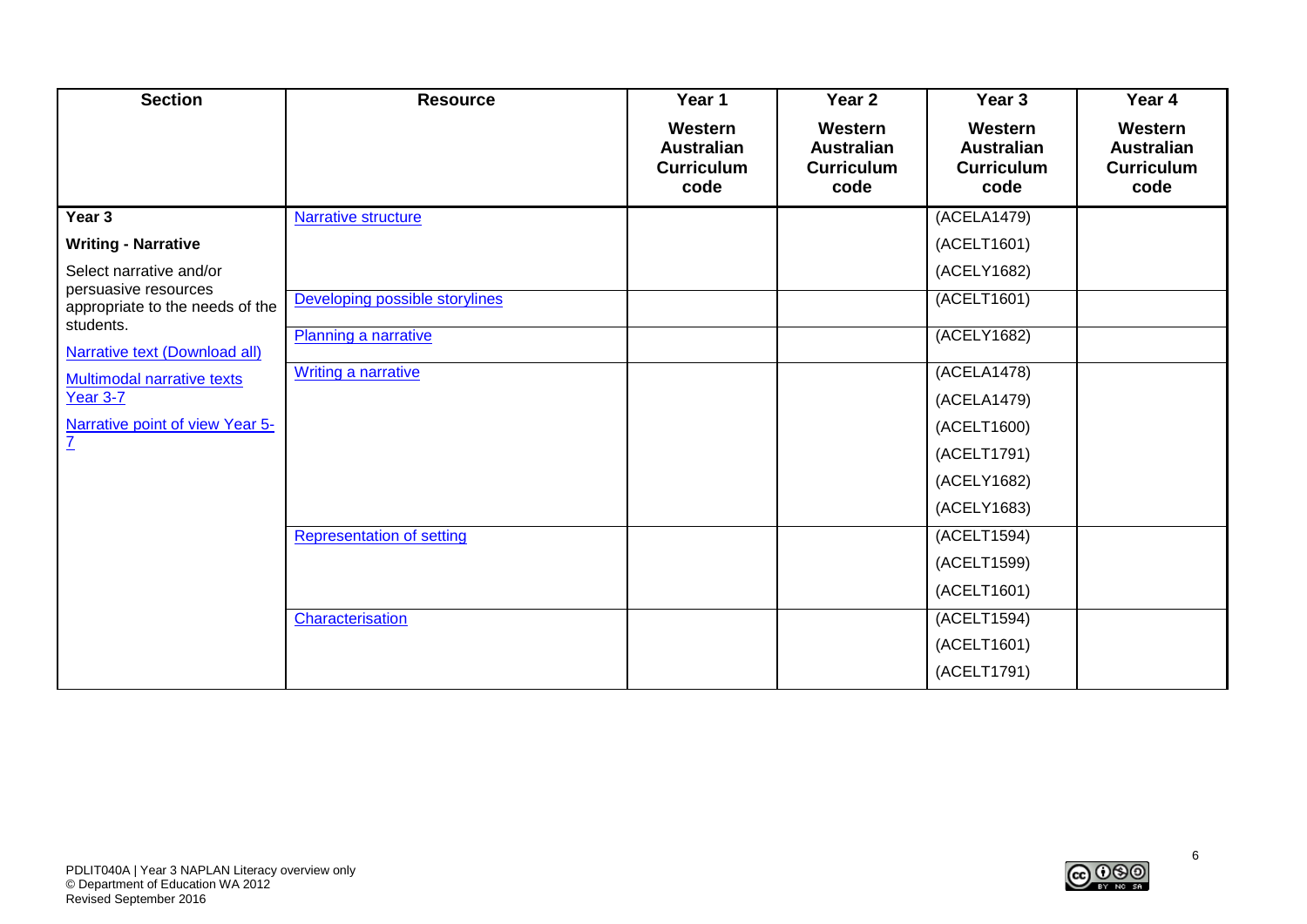| <b>Section</b>                                                       | <b>Resource</b>                  | Year 1                                                    | Year 2                                                    | Year <sub>3</sub>                                         | Year 4                                                    |
|----------------------------------------------------------------------|----------------------------------|-----------------------------------------------------------|-----------------------------------------------------------|-----------------------------------------------------------|-----------------------------------------------------------|
|                                                                      |                                  | Western<br><b>Australian</b><br><b>Curriculum</b><br>code | Western<br><b>Australian</b><br><b>Curriculum</b><br>code | Western<br><b>Australian</b><br><b>Curriculum</b><br>code | Western<br><b>Australian</b><br><b>Curriculum</b><br>code |
| Year 3                                                               | Narrative structure              |                                                           |                                                           | (ACELA1479)                                               |                                                           |
| <b>Writing - Narrative</b>                                           |                                  |                                                           |                                                           | (ACELT1601)                                               |                                                           |
| Select narrative and/or                                              |                                  |                                                           |                                                           | (ACELY1682)                                               |                                                           |
| persuasive resources<br>appropriate to the needs of the<br>students. | Developing possible storylines   |                                                           |                                                           | (ACELT1601)                                               |                                                           |
| <b>Narrative text (Download all)</b>                                 | Planning a narrative             |                                                           |                                                           | (ACELY1682)                                               |                                                           |
| Multimodal narrative texts                                           | <b>Writing a narrative</b>       |                                                           |                                                           | (ACELA1478)                                               |                                                           |
| Year 3-7                                                             |                                  |                                                           |                                                           | (ACELA1479)                                               |                                                           |
| Narrative point of view Year 5-                                      |                                  |                                                           |                                                           | (ACELT1600)                                               |                                                           |
| $\overline{L}$                                                       |                                  |                                                           |                                                           | (ACELT1791)                                               |                                                           |
|                                                                      |                                  |                                                           |                                                           | (ACELY1682)                                               |                                                           |
|                                                                      |                                  |                                                           |                                                           | (ACELY1683)                                               |                                                           |
|                                                                      | <b>Representation of setting</b> |                                                           |                                                           | (ACELT1594)                                               |                                                           |
|                                                                      |                                  |                                                           |                                                           | (ACELT1599)                                               |                                                           |
|                                                                      |                                  |                                                           |                                                           | (ACELT1601)                                               |                                                           |
|                                                                      | Characterisation                 |                                                           |                                                           | (ACELT1594)                                               |                                                           |
|                                                                      |                                  |                                                           |                                                           | (ACELT1601)                                               |                                                           |
|                                                                      |                                  |                                                           |                                                           | (ACELT1791)                                               |                                                           |

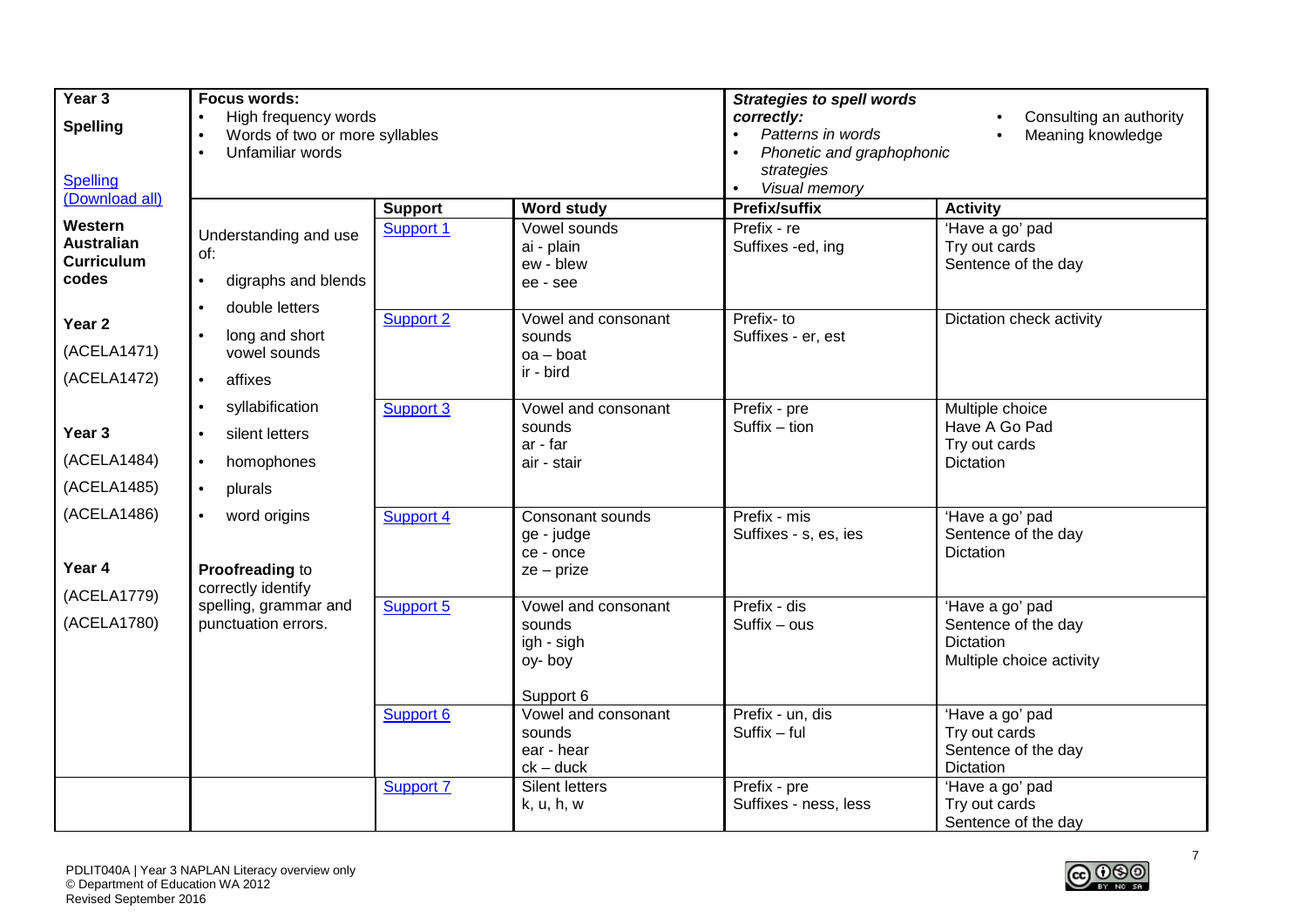| Year 3                                                     | <b>Focus words:</b>                                                                                               |                  |                                                     | <b>Strategies to spell words</b>                                                                                           |                                                         |  |
|------------------------------------------------------------|-------------------------------------------------------------------------------------------------------------------|------------------|-----------------------------------------------------|----------------------------------------------------------------------------------------------------------------------------|---------------------------------------------------------|--|
| <b>Spelling</b>                                            | High frequency words<br>$\bullet$<br>Words of two or more syllables<br>$\bullet$<br>Unfamiliar words<br>$\bullet$ |                  |                                                     | correctly:<br>Consulting an authority<br>Patterns in words<br>Meaning knowledge<br>Phonetic and graphophonic<br>strategies |                                                         |  |
| Spelling<br>(Download all)                                 |                                                                                                                   |                  |                                                     | Visual memory<br>$\bullet$                                                                                                 |                                                         |  |
|                                                            |                                                                                                                   | <b>Support</b>   | <b>Word study</b>                                   | Prefix/suffix                                                                                                              | <b>Activity</b>                                         |  |
| Western<br><b>Australian</b><br><b>Curriculum</b><br>codes | Understanding and use<br>of:<br>digraphs and blends<br>$\bullet$                                                  | Support 1        | Vowel sounds<br>ai - plain<br>ew - blew<br>ee - see | Prefix - re<br>Suffixes -ed, ing                                                                                           | 'Have a go' pad<br>Try out cards<br>Sentence of the day |  |
|                                                            | double letters<br>$\bullet$                                                                                       |                  |                                                     |                                                                                                                            |                                                         |  |
| Year <sub>2</sub>                                          | long and short                                                                                                    | Support 2        | Vowel and consonant<br>sounds                       | Prefix- to<br>Suffixes - er, est                                                                                           | Dictation check activity                                |  |
| (ACELA1471)                                                | vowel sounds                                                                                                      |                  | $oa - boat$                                         |                                                                                                                            |                                                         |  |
| (ACELA1472)                                                | affixes<br>$\bullet$                                                                                              |                  | ir - bird                                           |                                                                                                                            |                                                         |  |
|                                                            | syllabification<br>$\bullet$                                                                                      | Support 3        | Vowel and consonant                                 | Prefix - pre                                                                                                               | Multiple choice                                         |  |
| Year 3                                                     | silent letters<br>$\bullet$                                                                                       |                  | sounds                                              | $Suffix - tion$                                                                                                            | Have A Go Pad                                           |  |
| (ACELA1484)                                                | homophones<br>$\bullet$                                                                                           |                  | ar - far<br>air - stair                             |                                                                                                                            | Try out cards<br>Dictation                              |  |
| (ACELA1485)                                                | plurals<br>$\bullet$                                                                                              |                  |                                                     |                                                                                                                            |                                                         |  |
|                                                            |                                                                                                                   |                  |                                                     |                                                                                                                            |                                                         |  |
| (ACELA1486)                                                | word origins                                                                                                      | <b>Support 4</b> | Consonant sounds<br>ge - judge                      | Prefix - mis<br>Suffixes - s, es, ies                                                                                      | 'Have a go' pad<br>Sentence of the day                  |  |
|                                                            |                                                                                                                   |                  | ce - once                                           |                                                                                                                            | <b>Dictation</b>                                        |  |
| Year 4                                                     | Proofreading to                                                                                                   |                  | $ze - prize$                                        |                                                                                                                            |                                                         |  |
| (ACELA1779)                                                | correctly identify                                                                                                |                  |                                                     |                                                                                                                            |                                                         |  |
| (ACELA1780)                                                | spelling, grammar and<br>punctuation errors.                                                                      | Support 5        | Vowel and consonant<br>sounds                       | Prefix - dis<br>$Suffix - ous$                                                                                             | 'Have a go' pad<br>Sentence of the day                  |  |
|                                                            |                                                                                                                   |                  | igh - sigh                                          |                                                                                                                            | <b>Dictation</b>                                        |  |
|                                                            |                                                                                                                   |                  | oy-boy                                              |                                                                                                                            | Multiple choice activity                                |  |
|                                                            |                                                                                                                   |                  |                                                     |                                                                                                                            |                                                         |  |
|                                                            |                                                                                                                   | Support 6        | Support 6<br>Vowel and consonant                    | Prefix - un, dis                                                                                                           | 'Have a go' pad                                         |  |
|                                                            |                                                                                                                   |                  | sounds                                              | $Suffix - ful$                                                                                                             | Try out cards                                           |  |
|                                                            |                                                                                                                   |                  | ear - hear                                          |                                                                                                                            | Sentence of the day                                     |  |
|                                                            |                                                                                                                   |                  | $ck - duck$<br>Silent letters                       | Prefix - pre                                                                                                               | Dictation                                               |  |
|                                                            |                                                                                                                   | <b>Support 7</b> | k, u, h, w                                          | Suffixes - ness, less                                                                                                      | 'Have a go' pad<br>Try out cards                        |  |
|                                                            |                                                                                                                   |                  |                                                     |                                                                                                                            | Sentence of the day                                     |  |

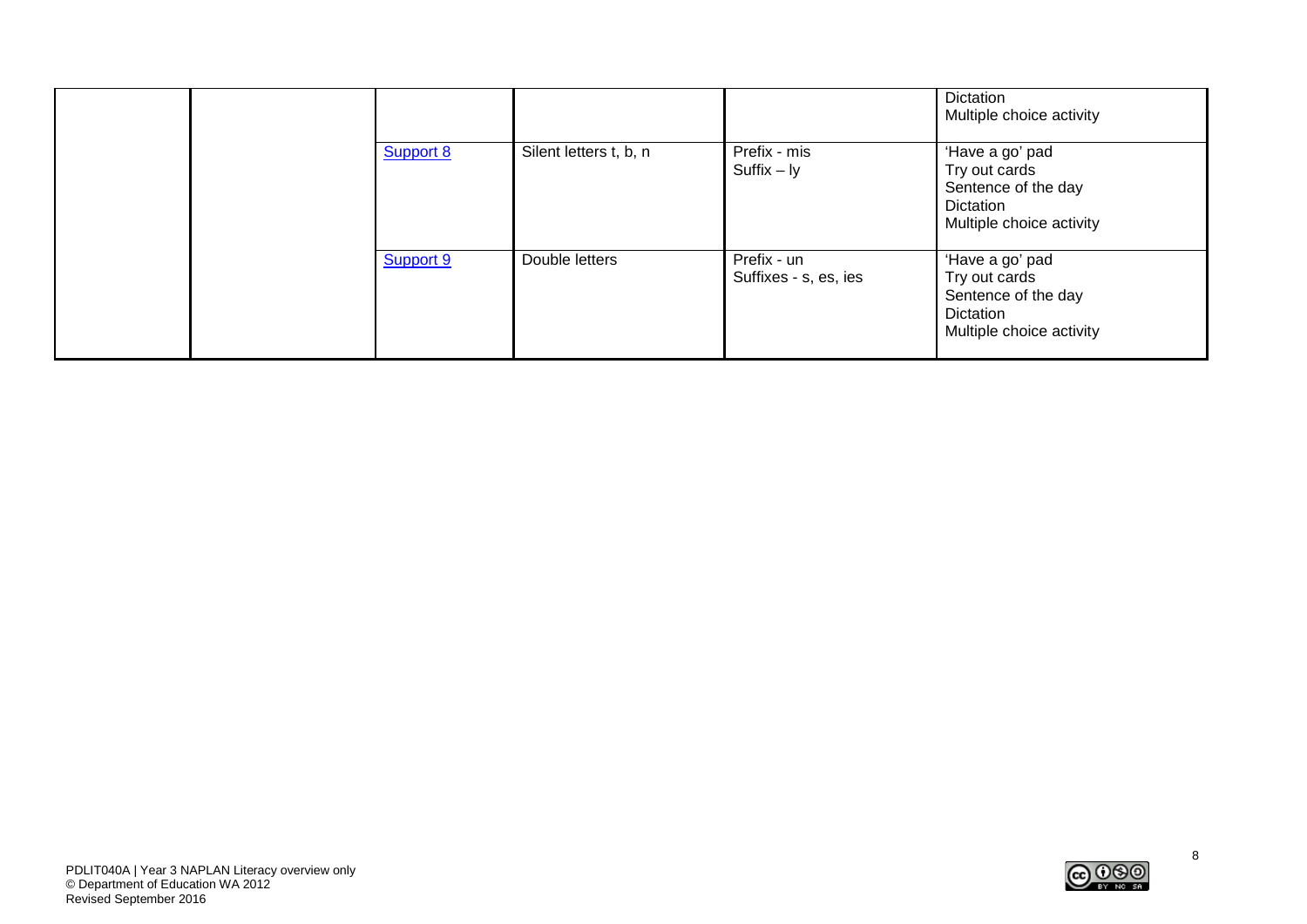|  |           |                        |                                      | Dictation<br>Multiple choice activity                                                            |
|--|-----------|------------------------|--------------------------------------|--------------------------------------------------------------------------------------------------|
|  | Support 8 | Silent letters t, b, n | Prefix - mis<br>$Suffix - ly$        | 'Have a go' pad<br>Try out cards<br>Sentence of the day<br>Dictation<br>Multiple choice activity |
|  | Support 9 | Double letters         | Prefix - un<br>Suffixes - s, es, ies | 'Have a go' pad<br>Try out cards<br>Sentence of the day<br>Dictation<br>Multiple choice activity |